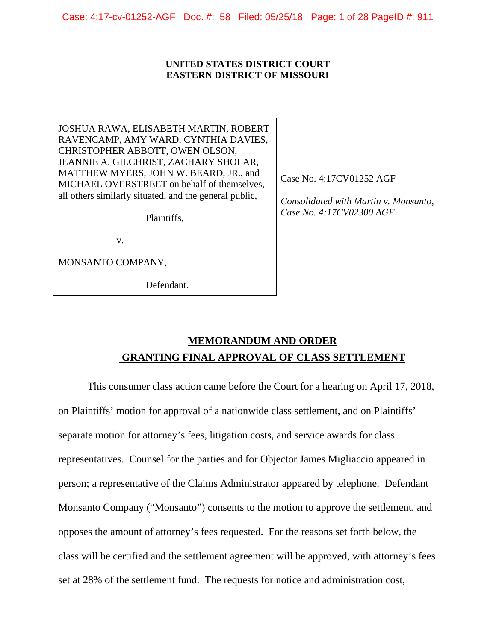Case: 4:17-cv-01252-AGF Doc. #: 58 Filed: 05/25/18 Page: 1 of 28 PageID #: 911

#### **UNITED STATES DISTRICT COURT EASTERN DISTRICT OF MISSOURI**

JOSHUA RAWA, ELISABETH MARTIN, ROBERT RAVENCAMP, AMY WARD, CYNTHIA DAVIES, CHRISTOPHER ABBOTT, OWEN OLSON, JEANNIE A. GILCHRIST, ZACHARY SHOLAR, MATTHEW MYERS, JOHN W. BEARD, JR., and MICHAEL OVERSTREET on behalf of themselves, all others similarly situated, and the general public,

Plaintiffs,

v.

MONSANTO COMPANY,

Defendant.

Case No. 4:17CV01252 AGF

*Consolidated with Martin v. Monsanto, Case No. 4:17CV02300 AGF* 

# **MEMORANDUM AND ORDER GRANTING FINAL APPROVAL OF CLASS SETTLEMENT**

This consumer class action came before the Court for a hearing on April 17, 2018, on Plaintiffs' motion for approval of a nationwide class settlement, and on Plaintiffs' separate motion for attorney's fees, litigation costs, and service awards for class representatives. Counsel for the parties and for Objector James Migliaccio appeared in person; a representative of the Claims Administrator appeared by telephone. Defendant Monsanto Company ("Monsanto") consents to the motion to approve the settlement, and opposes the amount of attorney's fees requested. For the reasons set forth below, the class will be certified and the settlement agreement will be approved, with attorney's fees set at 28% of the settlement fund. The requests for notice and administration cost,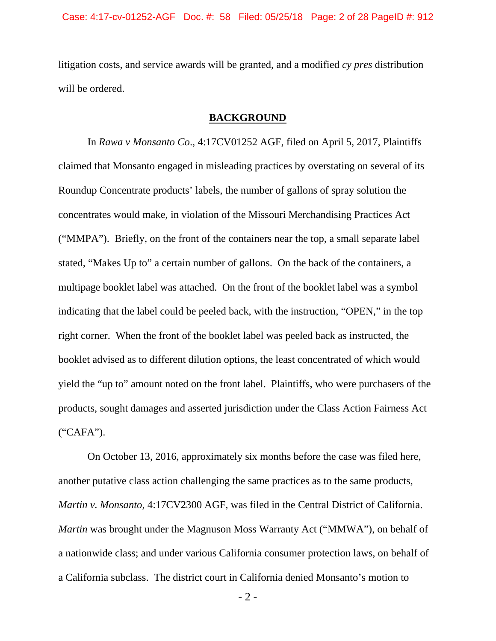litigation costs, and service awards will be granted, and a modified *cy pres* distribution will be ordered.

### **BACKGROUND**

In *Rawa v Monsanto Co*., 4:17CV01252 AGF, filed on April 5, 2017, Plaintiffs claimed that Monsanto engaged in misleading practices by overstating on several of its Roundup Concentrate products' labels, the number of gallons of spray solution the concentrates would make, in violation of the Missouri Merchandising Practices Act ("MMPA"). Briefly, on the front of the containers near the top, a small separate label stated, "Makes Up to" a certain number of gallons. On the back of the containers, a multipage booklet label was attached. On the front of the booklet label was a symbol indicating that the label could be peeled back, with the instruction, "OPEN," in the top right corner. When the front of the booklet label was peeled back as instructed, the booklet advised as to different dilution options, the least concentrated of which would yield the "up to" amount noted on the front label. Plaintiffs, who were purchasers of the products, sought damages and asserted jurisdiction under the Class Action Fairness Act ("CAFA").

On October 13, 2016, approximately six months before the case was filed here, another putative class action challenging the same practices as to the same products, *Martin v. Monsanto*, 4:17CV2300 AGF, was filed in the Central District of California. *Martin* was brought under the Magnuson Moss Warranty Act ("MMWA"), on behalf of a nationwide class; and under various California consumer protection laws, on behalf of a California subclass. The district court in California denied Monsanto's motion to

- 2 -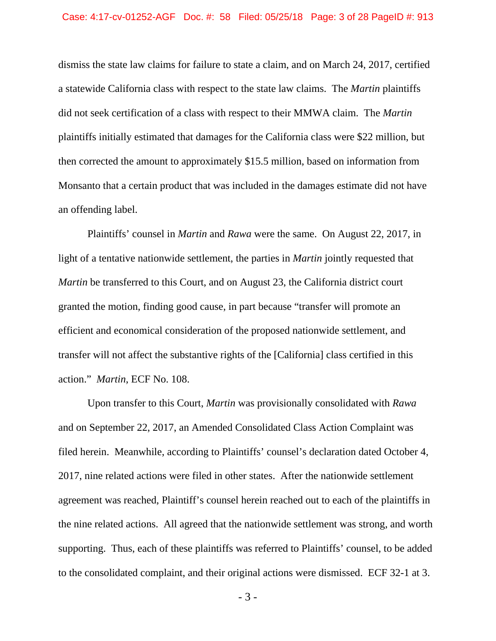dismiss the state law claims for failure to state a claim, and on March 24, 2017, certified a statewide California class with respect to the state law claims. The *Martin* plaintiffs did not seek certification of a class with respect to their MMWA claim. The *Martin* plaintiffs initially estimated that damages for the California class were \$22 million, but then corrected the amount to approximately \$15.5 million, based on information from Monsanto that a certain product that was included in the damages estimate did not have an offending label.

Plaintiffs' counsel in *Martin* and *Rawa* were the same. On August 22, 2017, in light of a tentative nationwide settlement, the parties in *Martin* jointly requested that *Martin* be transferred to this Court, and on August 23, the California district court granted the motion, finding good cause, in part because "transfer will promote an efficient and economical consideration of the proposed nationwide settlement, and transfer will not affect the substantive rights of the [California] class certified in this action." *Martin*, ECF No. 108.

Upon transfer to this Court, *Martin* was provisionally consolidated with *Rawa* and on September 22, 2017, an Amended Consolidated Class Action Complaint was filed herein. Meanwhile, according to Plaintiffs' counsel's declaration dated October 4, 2017, nine related actions were filed in other states. After the nationwide settlement agreement was reached, Plaintiff's counsel herein reached out to each of the plaintiffs in the nine related actions. All agreed that the nationwide settlement was strong, and worth supporting. Thus, each of these plaintiffs was referred to Plaintiffs' counsel, to be added to the consolidated complaint, and their original actions were dismissed. ECF 32-1 at 3.

- 3 -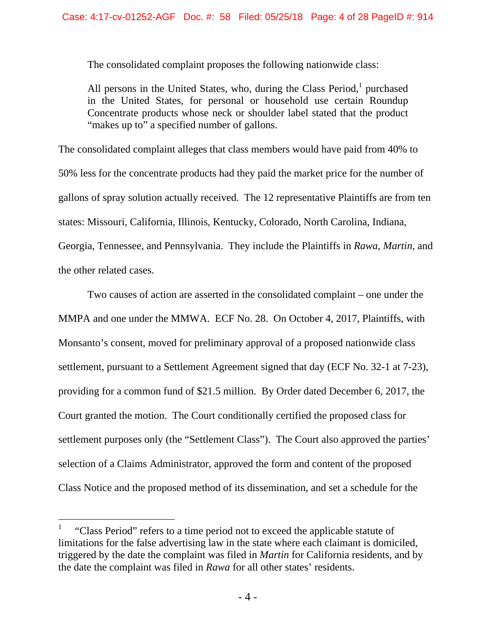The consolidated complaint proposes the following nationwide class:

All persons in the United States, who, during the Class Period, $<sup>1</sup>$  purchased</sup> in the United States, for personal or household use certain Roundup Concentrate products whose neck or shoulder label stated that the product "makes up to" a specified number of gallons.

The consolidated complaint alleges that class members would have paid from 40% to 50% less for the concentrate products had they paid the market price for the number of gallons of spray solution actually received. The 12 representative Plaintiffs are from ten states: Missouri, California, Illinois, Kentucky, Colorado, North Carolina, Indiana, Georgia, Tennessee, and Pennsylvania. They include the Plaintiffs in *Rawa*, *Martin*, and the other related cases.

Two causes of action are asserted in the consolidated complaint – one under the MMPA and one under the MMWA. ECF No. 28. On October 4, 2017, Plaintiffs, with Monsanto's consent, moved for preliminary approval of a proposed nationwide class settlement, pursuant to a Settlement Agreement signed that day (ECF No. 32-1 at 7-23), providing for a common fund of \$21.5 million. By Order dated December 6, 2017, the Court granted the motion. The Court conditionally certified the proposed class for settlement purposes only (the "Settlement Class"). The Court also approved the parties' selection of a Claims Administrator, approved the form and content of the proposed Class Notice and the proposed method of its dissemination, and set a schedule for the

 $\overline{a}$ 

<sup>1</sup> "Class Period" refers to a time period not to exceed the applicable statute of limitations for the false advertising law in the state where each claimant is domiciled, triggered by the date the complaint was filed in *Martin* for California residents, and by the date the complaint was filed in *Rawa* for all other states' residents.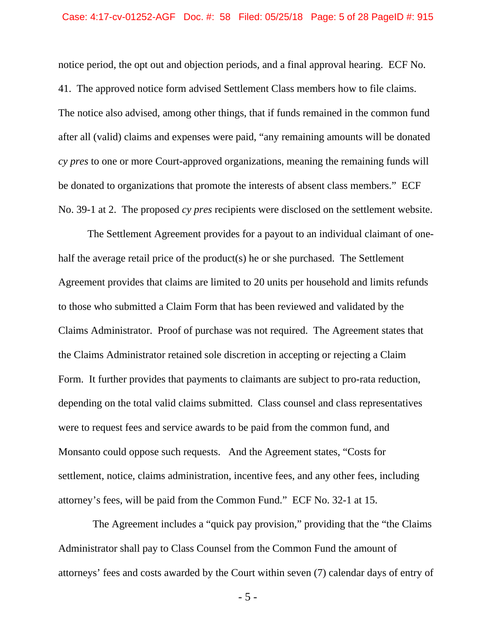notice period, the opt out and objection periods, and a final approval hearing. ECF No. 41. The approved notice form advised Settlement Class members how to file claims. The notice also advised, among other things, that if funds remained in the common fund after all (valid) claims and expenses were paid, "any remaining amounts will be donated *cy pres* to one or more Court-approved organizations, meaning the remaining funds will be donated to organizations that promote the interests of absent class members." ECF No. 39-1 at 2. The proposed *cy pres* recipients were disclosed on the settlement website.

The Settlement Agreement provides for a payout to an individual claimant of onehalf the average retail price of the product(s) he or she purchased. The Settlement Agreement provides that claims are limited to 20 units per household and limits refunds to those who submitted a Claim Form that has been reviewed and validated by the Claims Administrator. Proof of purchase was not required. The Agreement states that the Claims Administrator retained sole discretion in accepting or rejecting a Claim Form. It further provides that payments to claimants are subject to pro-rata reduction, depending on the total valid claims submitted. Class counsel and class representatives were to request fees and service awards to be paid from the common fund, and Monsanto could oppose such requests. And the Agreement states, "Costs for settlement, notice, claims administration, incentive fees, and any other fees, including attorney's fees, will be paid from the Common Fund." ECF No. 32-1 at 15.

 The Agreement includes a "quick pay provision," providing that the "the Claims Administrator shall pay to Class Counsel from the Common Fund the amount of attorneys' fees and costs awarded by the Court within seven (7) calendar days of entry of

- 5 -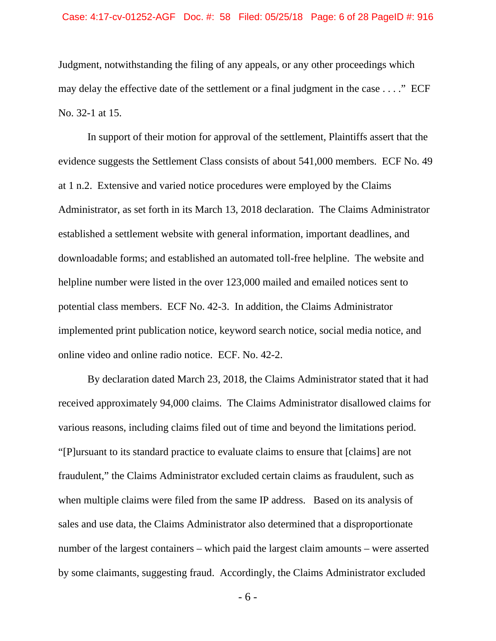Judgment, notwithstanding the filing of any appeals, or any other proceedings which may delay the effective date of the settlement or a final judgment in the case . . . ." ECF No. 32-1 at 15.

In support of their motion for approval of the settlement, Plaintiffs assert that the evidence suggests the Settlement Class consists of about 541,000 members. ECF No. 49 at 1 n.2. Extensive and varied notice procedures were employed by the Claims Administrator, as set forth in its March 13, 2018 declaration. The Claims Administrator established a settlement website with general information, important deadlines, and downloadable forms; and established an automated toll-free helpline. The website and helpline number were listed in the over 123,000 mailed and emailed notices sent to potential class members. ECF No. 42-3. In addition, the Claims Administrator implemented print publication notice, keyword search notice, social media notice, and online video and online radio notice. ECF. No. 42-2.

By declaration dated March 23, 2018, the Claims Administrator stated that it had received approximately 94,000 claims. The Claims Administrator disallowed claims for various reasons, including claims filed out of time and beyond the limitations period. "[P]ursuant to its standard practice to evaluate claims to ensure that [claims] are not fraudulent," the Claims Administrator excluded certain claims as fraudulent, such as when multiple claims were filed from the same IP address. Based on its analysis of sales and use data, the Claims Administrator also determined that a disproportionate number of the largest containers – which paid the largest claim amounts – were asserted by some claimants, suggesting fraud. Accordingly, the Claims Administrator excluded

- 6 -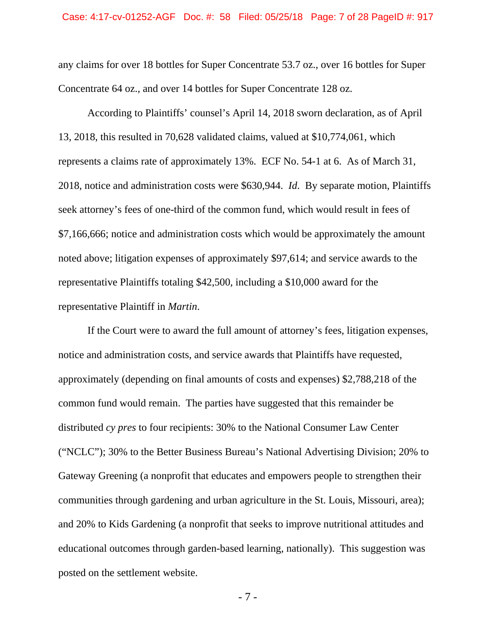any claims for over 18 bottles for Super Concentrate 53.7 oz., over 16 bottles for Super Concentrate 64 oz., and over 14 bottles for Super Concentrate 128 oz.

According to Plaintiffs' counsel's April 14, 2018 sworn declaration, as of April 13, 2018, this resulted in 70,628 validated claims, valued at \$10,774,061, which represents a claims rate of approximately 13%. ECF No. 54-1 at 6. As of March 31, 2018, notice and administration costs were \$630,944. *Id*. By separate motion, Plaintiffs seek attorney's fees of one-third of the common fund, which would result in fees of \$7,166,666; notice and administration costs which would be approximately the amount noted above; litigation expenses of approximately \$97,614; and service awards to the representative Plaintiffs totaling \$42,500, including a \$10,000 award for the representative Plaintiff in *Martin*.

If the Court were to award the full amount of attorney's fees, litigation expenses, notice and administration costs, and service awards that Plaintiffs have requested, approximately (depending on final amounts of costs and expenses) \$2,788,218 of the common fund would remain. The parties have suggested that this remainder be distributed *cy pres* to four recipients: 30% to the National Consumer Law Center ("NCLC"); 30% to the Better Business Bureau's National Advertising Division; 20% to Gateway Greening (a nonprofit that educates and empowers people to strengthen their communities through gardening and urban agriculture in the St. Louis, Missouri, area); and 20% to Kids Gardening (a nonprofit that seeks to improve nutritional attitudes and educational outcomes through garden-based learning, nationally). This suggestion was posted on the settlement website.

- 7 -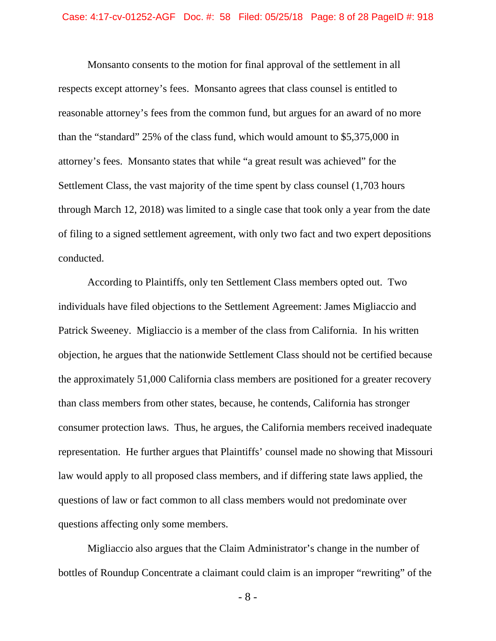Monsanto consents to the motion for final approval of the settlement in all respects except attorney's fees. Monsanto agrees that class counsel is entitled to reasonable attorney's fees from the common fund, but argues for an award of no more than the "standard" 25% of the class fund, which would amount to \$5,375,000 in attorney's fees. Monsanto states that while "a great result was achieved" for the Settlement Class, the vast majority of the time spent by class counsel (1,703 hours through March 12, 2018) was limited to a single case that took only a year from the date of filing to a signed settlement agreement, with only two fact and two expert depositions conducted.

According to Plaintiffs, only ten Settlement Class members opted out. Two individuals have filed objections to the Settlement Agreement: James Migliaccio and Patrick Sweeney. Migliaccio is a member of the class from California. In his written objection, he argues that the nationwide Settlement Class should not be certified because the approximately 51,000 California class members are positioned for a greater recovery than class members from other states, because, he contends, California has stronger consumer protection laws. Thus, he argues, the California members received inadequate representation. He further argues that Plaintiffs' counsel made no showing that Missouri law would apply to all proposed class members, and if differing state laws applied, the questions of law or fact common to all class members would not predominate over questions affecting only some members.

Migliaccio also argues that the Claim Administrator's change in the number of bottles of Roundup Concentrate a claimant could claim is an improper "rewriting" of the

- 8 -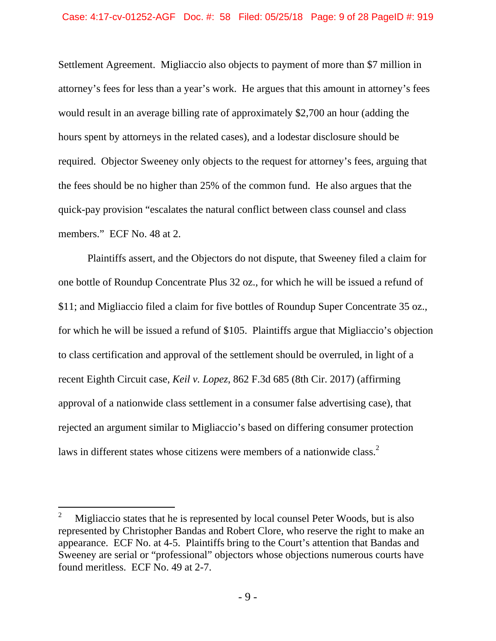Settlement Agreement. Migliaccio also objects to payment of more than \$7 million in attorney's fees for less than a year's work. He argues that this amount in attorney's fees would result in an average billing rate of approximately \$2,700 an hour (adding the hours spent by attorneys in the related cases), and a lodestar disclosure should be required. Objector Sweeney only objects to the request for attorney's fees, arguing that the fees should be no higher than 25% of the common fund. He also argues that the quick-pay provision "escalates the natural conflict between class counsel and class members." ECF No. 48 at 2.

Plaintiffs assert, and the Objectors do not dispute, that Sweeney filed a claim for one bottle of Roundup Concentrate Plus 32 oz., for which he will be issued a refund of \$11; and Migliaccio filed a claim for five bottles of Roundup Super Concentrate 35 oz., for which he will be issued a refund of \$105. Plaintiffs argue that Migliaccio's objection to class certification and approval of the settlement should be overruled, in light of a recent Eighth Circuit case, *Keil v. Lopez*, 862 F.3d 685 (8th Cir. 2017) (affirming approval of a nationwide class settlement in a consumer false advertising case), that rejected an argument similar to Migliaccio's based on differing consumer protection laws in different states whose citizens were members of a nationwide class.<sup>2</sup>

l

<sup>2</sup> Migliaccio states that he is represented by local counsel Peter Woods, but is also represented by Christopher Bandas and Robert Clore, who reserve the right to make an appearance. ECF No. at 4-5. Plaintiffs bring to the Court's attention that Bandas and Sweeney are serial or "professional" objectors whose objections numerous courts have found meritless. ECF No. 49 at 2-7.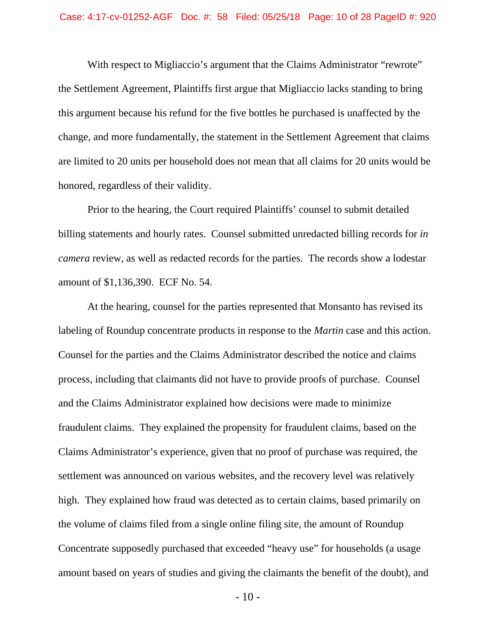With respect to Migliaccio's argument that the Claims Administrator "rewrote" the Settlement Agreement, Plaintiffs first argue that Migliaccio lacks standing to bring this argument because his refund for the five bottles he purchased is unaffected by the change, and more fundamentally, the statement in the Settlement Agreement that claims are limited to 20 units per household does not mean that all claims for 20 units would be honored, regardless of their validity.

Prior to the hearing, the Court required Plaintiffs' counsel to submit detailed billing statements and hourly rates. Counsel submitted unredacted billing records for *in camera* review, as well as redacted records for the parties. The records show a lodestar amount of \$1,136,390. ECF No. 54.

At the hearing, counsel for the parties represented that Monsanto has revised its labeling of Roundup concentrate products in response to the *Martin* case and this action. Counsel for the parties and the Claims Administrator described the notice and claims process, including that claimants did not have to provide proofs of purchase. Counsel and the Claims Administrator explained how decisions were made to minimize fraudulent claims. They explained the propensity for fraudulent claims, based on the Claims Administrator's experience, given that no proof of purchase was required, the settlement was announced on various websites, and the recovery level was relatively high. They explained how fraud was detected as to certain claims, based primarily on the volume of claims filed from a single online filing site, the amount of Roundup Concentrate supposedly purchased that exceeded "heavy use" for households (a usage amount based on years of studies and giving the claimants the benefit of the doubt), and

- 10 -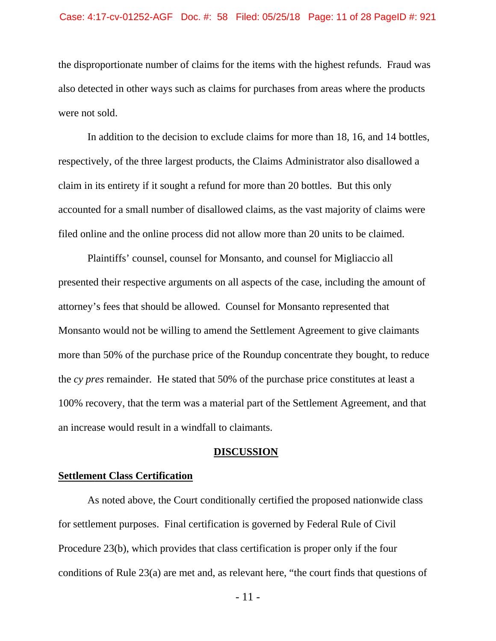the disproportionate number of claims for the items with the highest refunds. Fraud was also detected in other ways such as claims for purchases from areas where the products were not sold.

In addition to the decision to exclude claims for more than 18, 16, and 14 bottles, respectively, of the three largest products, the Claims Administrator also disallowed a claim in its entirety if it sought a refund for more than 20 bottles. But this only accounted for a small number of disallowed claims, as the vast majority of claims were filed online and the online process did not allow more than 20 units to be claimed.

Plaintiffs' counsel, counsel for Monsanto, and counsel for Migliaccio all presented their respective arguments on all aspects of the case, including the amount of attorney's fees that should be allowed. Counsel for Monsanto represented that Monsanto would not be willing to amend the Settlement Agreement to give claimants more than 50% of the purchase price of the Roundup concentrate they bought, to reduce the *cy pres* remainder. He stated that 50% of the purchase price constitutes at least a 100% recovery, that the term was a material part of the Settlement Agreement, and that an increase would result in a windfall to claimants.

### **DISCUSSION**

### **Settlement Class Certification**

 As noted above, the Court conditionally certified the proposed nationwide class for settlement purposes. Final certification is governed by Federal Rule of Civil Procedure 23(b), which provides that class certification is proper only if the four conditions of Rule 23(a) are met and, as relevant here, "the court finds that questions of

- 11 -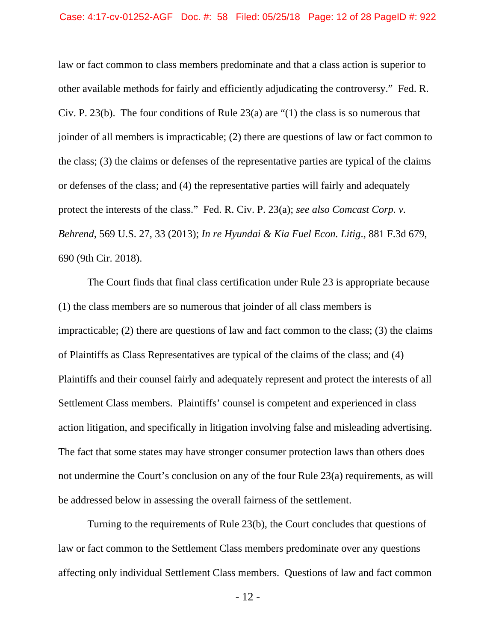law or fact common to class members predominate and that a class action is superior to other available methods for fairly and efficiently adjudicating the controversy." Fed. R. Civ. P. 23(b). The four conditions of Rule 23(a) are "(1) the class is so numerous that joinder of all members is impracticable; (2) there are questions of law or fact common to the class; (3) the claims or defenses of the representative parties are typical of the claims or defenses of the class; and (4) the representative parties will fairly and adequately protect the interests of the class." Fed. R. Civ. P. 23(a); *see also Comcast Corp. v. Behrend*, 569 U.S. 27, 33 (2013); *In re Hyundai & Kia Fuel Econ. Litig*., 881 F.3d 679, 690 (9th Cir. 2018).

 The Court finds that final class certification under Rule 23 is appropriate because (1) the class members are so numerous that joinder of all class members is impracticable; (2) there are questions of law and fact common to the class; (3) the claims of Plaintiffs as Class Representatives are typical of the claims of the class; and (4) Plaintiffs and their counsel fairly and adequately represent and protect the interests of all Settlement Class members. Plaintiffs' counsel is competent and experienced in class action litigation, and specifically in litigation involving false and misleading advertising. The fact that some states may have stronger consumer protection laws than others does not undermine the Court's conclusion on any of the four Rule 23(a) requirements, as will be addressed below in assessing the overall fairness of the settlement.

 Turning to the requirements of Rule 23(b), the Court concludes that questions of law or fact common to the Settlement Class members predominate over any questions affecting only individual Settlement Class members. Questions of law and fact common

- 12 -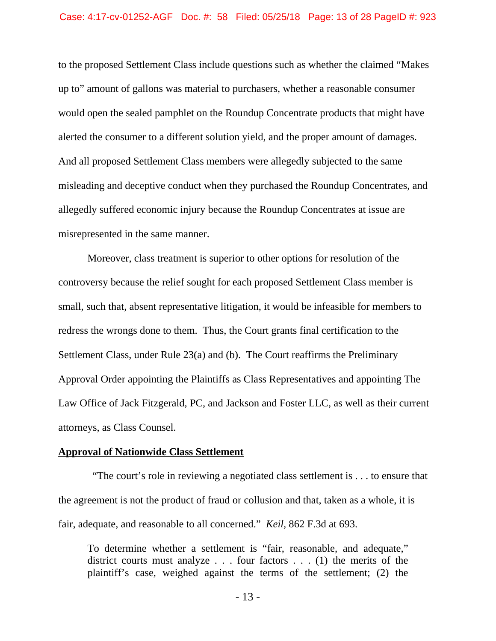to the proposed Settlement Class include questions such as whether the claimed "Makes up to" amount of gallons was material to purchasers, whether a reasonable consumer would open the sealed pamphlet on the Roundup Concentrate products that might have alerted the consumer to a different solution yield, and the proper amount of damages. And all proposed Settlement Class members were allegedly subjected to the same misleading and deceptive conduct when they purchased the Roundup Concentrates, and allegedly suffered economic injury because the Roundup Concentrates at issue are misrepresented in the same manner.

 Moreover, class treatment is superior to other options for resolution of the controversy because the relief sought for each proposed Settlement Class member is small, such that, absent representative litigation, it would be infeasible for members to redress the wrongs done to them. Thus, the Court grants final certification to the Settlement Class, under Rule 23(a) and (b). The Court reaffirms the Preliminary Approval Order appointing the Plaintiffs as Class Representatives and appointing The Law Office of Jack Fitzgerald, PC, and Jackson and Foster LLC, as well as their current attorneys, as Class Counsel.

### **Approval of Nationwide Class Settlement**

 "The court's role in reviewing a negotiated class settlement is . . . to ensure that the agreement is not the product of fraud or collusion and that, taken as a whole, it is fair, adequate, and reasonable to all concerned." *Keil,* 862 F.3d at 693.

To determine whether a settlement is "fair, reasonable, and adequate," district courts must analyze  $\ldots$  four factors  $\ldots$  (1) the merits of the plaintiff's case, weighed against the terms of the settlement; (2) the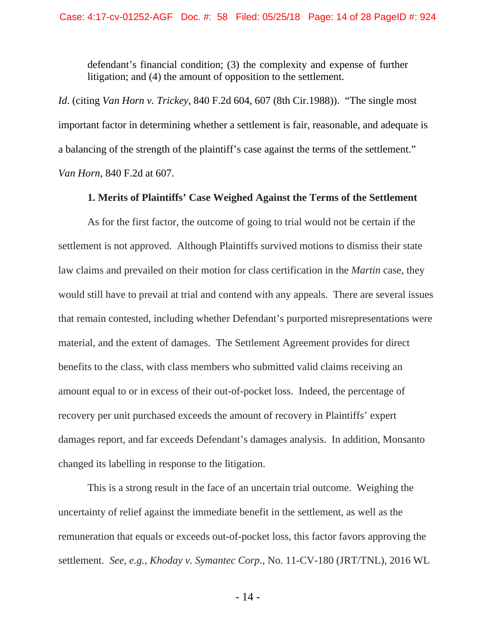defendant's financial condition; (3) the complexity and expense of further litigation; and (4) the amount of opposition to the settlement.

*Id*. (citing *Van Horn v. Trickey*, 840 F.2d 604, 607 (8th Cir.1988)). "The single most important factor in determining whether a settlement is fair, reasonable, and adequate is a balancing of the strength of the plaintiff's case against the terms of the settlement." *Van Horn*, 840 F.2d at 607.

### **1. Merits of Plaintiffs' Case Weighed Against the Terms of the Settlement**

As for the first factor, the outcome of going to trial would not be certain if the settlement is not approved. Although Plaintiffs survived motions to dismiss their state law claims and prevailed on their motion for class certification in the *Martin* case, they would still have to prevail at trial and contend with any appeals. There are several issues that remain contested, including whether Defendant's purported misrepresentations were material, and the extent of damages. The Settlement Agreement provides for direct benefits to the class, with class members who submitted valid claims receiving an amount equal to or in excess of their out-of-pocket loss. Indeed, the percentage of recovery per unit purchased exceeds the amount of recovery in Plaintiffs' expert damages report, and far exceeds Defendant's damages analysis. In addition, Monsanto changed its labelling in response to the litigation.

This is a strong result in the face of an uncertain trial outcome. Weighing the uncertainty of relief against the immediate benefit in the settlement, as well as the remuneration that equals or exceeds out-of-pocket loss, this factor favors approving the settlement. *See, e.g., Khoday v. Symantec Corp*., No. 11-CV-180 (JRT/TNL), 2016 WL

- 14 -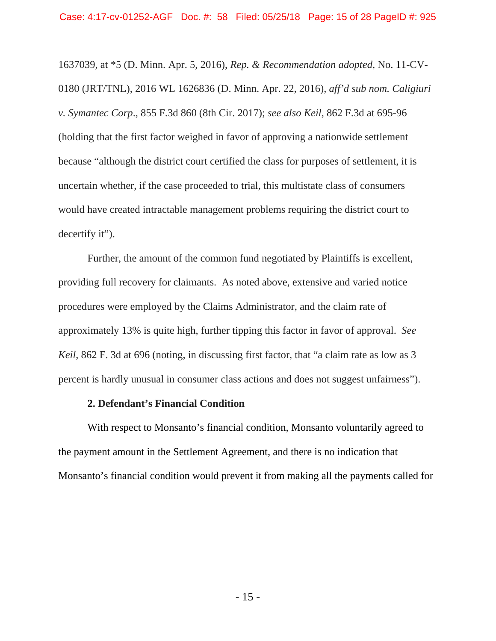1637039, at \*5 (D. Minn. Apr. 5, 2016), *Rep. & Recommendation adopted*, No. 11-CV-0180 (JRT/TNL), 2016 WL 1626836 (D. Minn. Apr. 22, 2016), *aff'd sub nom. Caligiuri v. Symantec Corp*., 855 F.3d 860 (8th Cir. 2017); *see also Keil*, 862 F.3d at 695-96 (holding that the first factor weighed in favor of approving a nationwide settlement because "although the district court certified the class for purposes of settlement, it is uncertain whether, if the case proceeded to trial, this multistate class of consumers would have created intractable management problems requiring the district court to decertify it").

Further, the amount of the common fund negotiated by Plaintiffs is excellent, providing full recovery for claimants. As noted above, extensive and varied notice procedures were employed by the Claims Administrator, and the claim rate of approximately 13% is quite high, further tipping this factor in favor of approval. *See Keil*, 862 F. 3d at 696 (noting, in discussing first factor, that "a claim rate as low as 3 percent is hardly unusual in consumer class actions and does not suggest unfairness").

#### **2. Defendant's Financial Condition**

With respect to Monsanto's financial condition, Monsanto voluntarily agreed to the payment amount in the Settlement Agreement, and there is no indication that Monsanto's financial condition would prevent it from making all the payments called for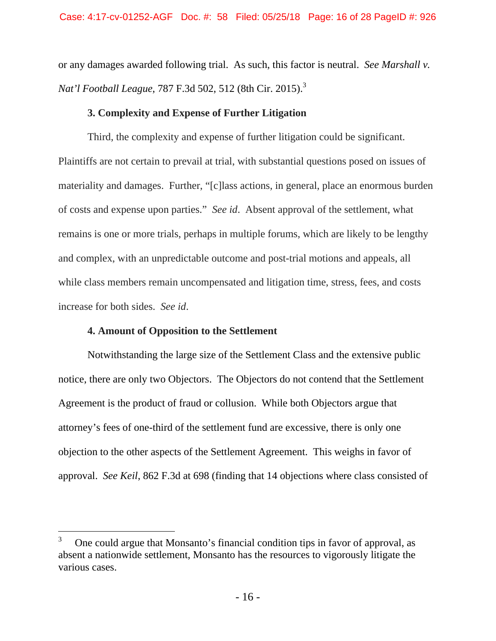or any damages awarded following trial. As such, this factor is neutral. *See Marshall v. Nat'l Football League*, 787 F.3d 502, 512 (8th Cir. 2015).3

### **3. Complexity and Expense of Further Litigation**

 Third, the complexity and expense of further litigation could be significant. Plaintiffs are not certain to prevail at trial, with substantial questions posed on issues of materiality and damages. Further, "[c]lass actions, in general, place an enormous burden of costs and expense upon parties." *See id*. Absent approval of the settlement, what remains is one or more trials, perhaps in multiple forums, which are likely to be lengthy and complex, with an unpredictable outcome and post-trial motions and appeals, all while class members remain uncompensated and litigation time, stress, fees, and costs increase for both sides. *See id*.

### **4. Amount of Opposition to the Settlement**

 $\overline{a}$ 

 Notwithstanding the large size of the Settlement Class and the extensive public notice, there are only two Objectors. The Objectors do not contend that the Settlement Agreement is the product of fraud or collusion. While both Objectors argue that attorney's fees of one-third of the settlement fund are excessive, there is only one objection to the other aspects of the Settlement Agreement. This weighs in favor of approval. *See Keil*, 862 F.3d at 698 (finding that 14 objections where class consisted of

<sup>3</sup> One could argue that Monsanto's financial condition tips in favor of approval, as absent a nationwide settlement, Monsanto has the resources to vigorously litigate the various cases.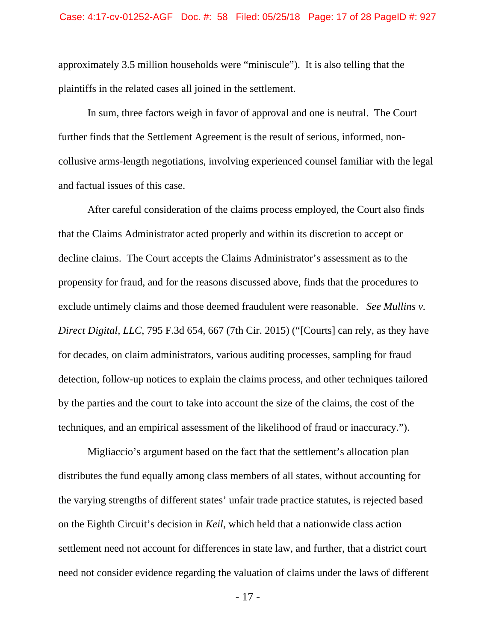approximately 3.5 million households were "miniscule"). It is also telling that the plaintiffs in the related cases all joined in the settlement.

 In sum, three factors weigh in favor of approval and one is neutral. The Court further finds that the Settlement Agreement is the result of serious, informed, noncollusive arms-length negotiations, involving experienced counsel familiar with the legal and factual issues of this case.

 After careful consideration of the claims process employed, the Court also finds that the Claims Administrator acted properly and within its discretion to accept or decline claims. The Court accepts the Claims Administrator's assessment as to the propensity for fraud, and for the reasons discussed above, finds that the procedures to exclude untimely claims and those deemed fraudulent were reasonable. *See Mullins v. Direct Digital, LLC*, 795 F.3d 654, 667 (7th Cir. 2015) ("[Courts] can rely, as they have for decades, on claim administrators, various auditing processes, sampling for fraud detection, follow-up notices to explain the claims process, and other techniques tailored by the parties and the court to take into account the size of the claims, the cost of the techniques, and an empirical assessment of the likelihood of fraud or inaccuracy.").

 Migliaccio's argument based on the fact that the settlement's allocation plan distributes the fund equally among class members of all states, without accounting for the varying strengths of different states' unfair trade practice statutes, is rejected based on the Eighth Circuit's decision in *Keil*, which held that a nationwide class action settlement need not account for differences in state law, and further, that a district court need not consider evidence regarding the valuation of claims under the laws of different

- 17 -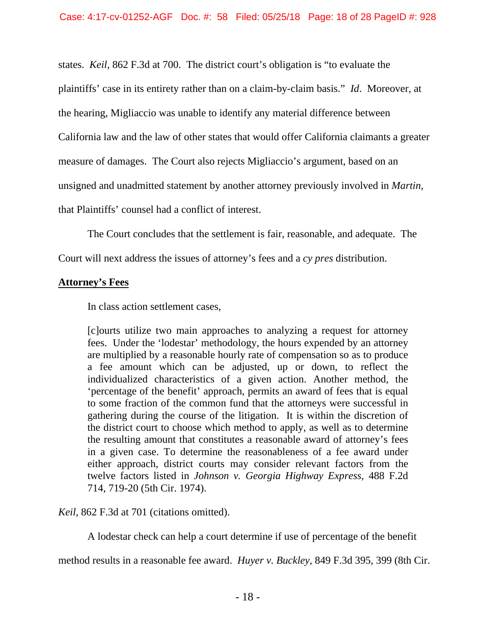states. *Keil*, 862 F.3d at 700. The district court's obligation is "to evaluate the plaintiffs' case in its entirety rather than on a claim-by-claim basis." *Id*. Moreover, at the hearing, Migliaccio was unable to identify any material difference between California law and the law of other states that would offer California claimants a greater measure of damages. The Court also rejects Migliaccio's argument, based on an unsigned and unadmitted statement by another attorney previously involved in *Martin*, that Plaintiffs' counsel had a conflict of interest.

The Court concludes that the settlement is fair, reasonable, and adequate. The

Court will next address the issues of attorney's fees and a *cy pres* distribution.

## **Attorney's Fees**

In class action settlement cases,

[c]ourts utilize two main approaches to analyzing a request for attorney fees. Under the 'lodestar' methodology, the hours expended by an attorney are multiplied by a reasonable hourly rate of compensation so as to produce a fee amount which can be adjusted, up or down, to reflect the individualized characteristics of a given action. Another method, the 'percentage of the benefit' approach, permits an award of fees that is equal to some fraction of the common fund that the attorneys were successful in gathering during the course of the litigation. It is within the discretion of the district court to choose which method to apply, as well as to determine the resulting amount that constitutes a reasonable award of attorney's fees in a given case. To determine the reasonableness of a fee award under either approach, district courts may consider relevant factors from the twelve factors listed in *Johnson v. Georgia Highway Express*, 488 F.2d 714, 719-20 (5th Cir. 1974).

*Keil,* 862 F.3d at 701 (citations omitted).

A lodestar check can help a court determine if use of percentage of the benefit

method results in a reasonable fee award. *Huyer v. Buckley*, 849 F.3d 395, 399 (8th Cir.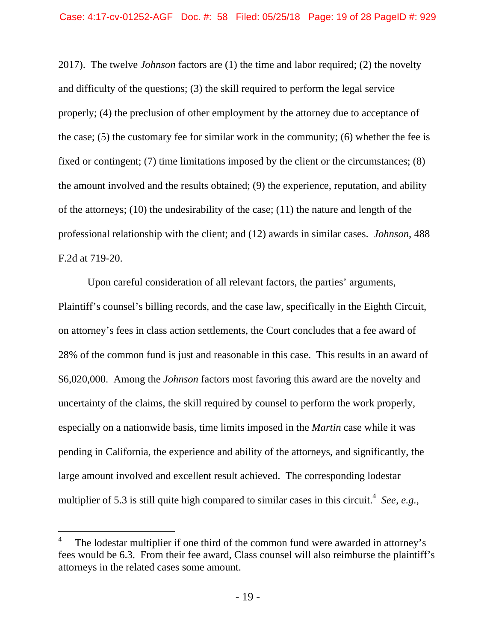2017). The twelve *Johnson* factors are (1) the time and labor required; (2) the novelty and difficulty of the questions; (3) the skill required to perform the legal service properly; (4) the preclusion of other employment by the attorney due to acceptance of the case; (5) the customary fee for similar work in the community; (6) whether the fee is fixed or contingent; (7) time limitations imposed by the client or the circumstances; (8) the amount involved and the results obtained; (9) the experience, reputation, and ability of the attorneys; (10) the undesirability of the case; (11) the nature and length of the professional relationship with the client; and (12) awards in similar cases. *Johnson*, 488 F.2d at 719-20.

 Upon careful consideration of all relevant factors, the parties' arguments, Plaintiff's counsel's billing records, and the case law, specifically in the Eighth Circuit, on attorney's fees in class action settlements, the Court concludes that a fee award of 28% of the common fund is just and reasonable in this case. This results in an award of \$6,020,000. Among the *Johnson* factors most favoring this award are the novelty and uncertainty of the claims, the skill required by counsel to perform the work properly, especially on a nationwide basis, time limits imposed in the *Martin* case while it was pending in California, the experience and ability of the attorneys, and significantly, the large amount involved and excellent result achieved. The corresponding lodestar multiplier of 5.3 is still quite high compared to similar cases in this circuit.<sup>4</sup> See, e.g.,

 $\overline{a}$ 

<sup>4</sup> The lodestar multiplier if one third of the common fund were awarded in attorney's fees would be 6.3. From their fee award, Class counsel will also reimburse the plaintiff's attorneys in the related cases some amount.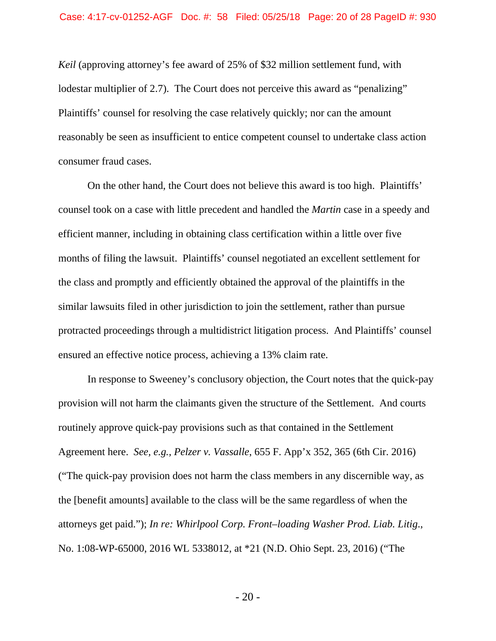*Keil* (approving attorney's fee award of 25% of \$32 million settlement fund, with lodestar multiplier of 2.7). The Court does not perceive this award as "penalizing" Plaintiffs' counsel for resolving the case relatively quickly; nor can the amount reasonably be seen as insufficient to entice competent counsel to undertake class action consumer fraud cases.

 On the other hand, the Court does not believe this award is too high. Plaintiffs' counsel took on a case with little precedent and handled the *Martin* case in a speedy and efficient manner, including in obtaining class certification within a little over five months of filing the lawsuit. Plaintiffs' counsel negotiated an excellent settlement for the class and promptly and efficiently obtained the approval of the plaintiffs in the similar lawsuits filed in other jurisdiction to join the settlement, rather than pursue protracted proceedings through a multidistrict litigation process. And Plaintiffs' counsel ensured an effective notice process, achieving a 13% claim rate.

 In response to Sweeney's conclusory objection, the Court notes that the quick-pay provision will not harm the claimants given the structure of the Settlement. And courts routinely approve quick-pay provisions such as that contained in the Settlement Agreement here. *See, e.g., Pelzer v. Vassalle*, 655 F. App'x 352, 365 (6th Cir. 2016) ("The quick-pay provision does not harm the class members in any discernible way, as the [benefit amounts] available to the class will be the same regardless of when the attorneys get paid."); *In re: Whirlpool Corp. Front–loading Washer Prod. Liab. Litig*., No. 1:08-WP-65000, 2016 WL 5338012, at \*21 (N.D. Ohio Sept. 23, 2016) ("The

- 20 -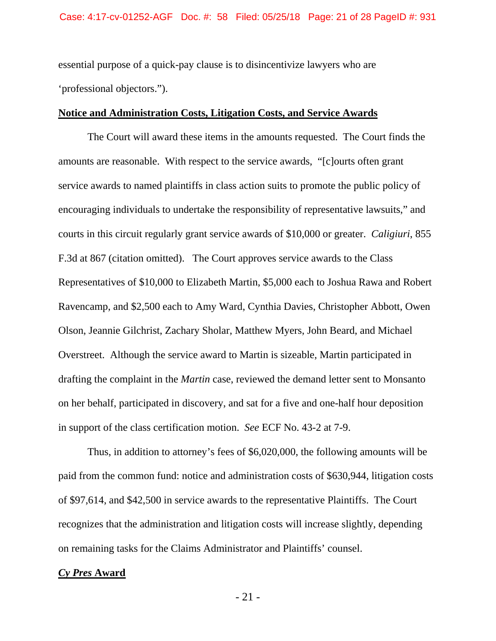essential purpose of a quick-pay clause is to disincentivize lawyers who are 'professional objectors.").

### **Notice and Administration Costs, Litigation Costs, and Service Awards**

 The Court will award these items in the amounts requested. The Court finds the amounts are reasonable. With respect to the service awards, "[c]ourts often grant service awards to named plaintiffs in class action suits to promote the public policy of encouraging individuals to undertake the responsibility of representative lawsuits," and courts in this circuit regularly grant service awards of \$10,000 or greater. *Caligiuri*, 855 F.3d at 867 (citation omitted). The Court approves service awards to the Class Representatives of \$10,000 to Elizabeth Martin, \$5,000 each to Joshua Rawa and Robert Ravencamp, and \$2,500 each to Amy Ward, Cynthia Davies, Christopher Abbott, Owen Olson, Jeannie Gilchrist, Zachary Sholar, Matthew Myers, John Beard, and Michael Overstreet. Although the service award to Martin is sizeable, Martin participated in drafting the complaint in the *Martin* case, reviewed the demand letter sent to Monsanto on her behalf, participated in discovery, and sat for a five and one-half hour deposition in support of the class certification motion. *See* ECF No. 43-2 at 7-9.

 Thus, in addition to attorney's fees of \$6,020,000, the following amounts will be paid from the common fund: notice and administration costs of \$630,944, litigation costs of \$97,614, and \$42,500 in service awards to the representative Plaintiffs. The Court recognizes that the administration and litigation costs will increase slightly, depending on remaining tasks for the Claims Administrator and Plaintiffs' counsel.

#### *Cy Pres* **Award**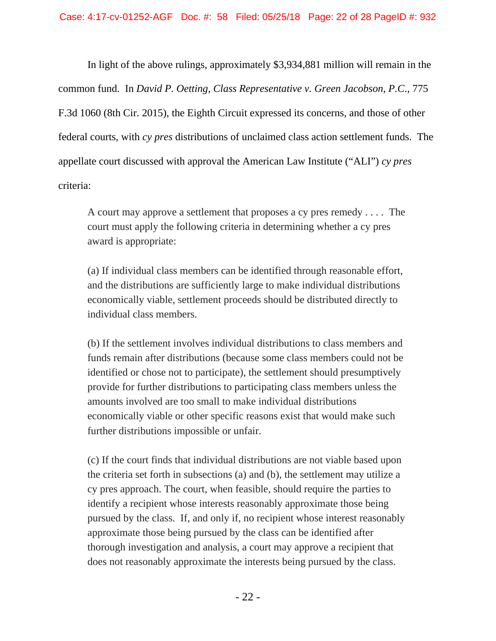In light of the above rulings, approximately \$3,934,881 million will remain in the common fund. In *David P. Oetting, Class Representative v. Green Jacobson, P.C*., 775 F.3d 1060 (8th Cir. 2015), the Eighth Circuit expressed its concerns, and those of other federal courts, with *cy pres* distributions of unclaimed class action settlement funds. The appellate court discussed with approval the American Law Institute ("ALI") *cy pres* criteria:

 A court may approve a settlement that proposes a cy pres remedy . . . . The court must apply the following criteria in determining whether a cy pres award is appropriate:

 (a) If individual class members can be identified through reasonable effort, and the distributions are sufficiently large to make individual distributions economically viable, settlement proceeds should be distributed directly to individual class members.

 (b) If the settlement involves individual distributions to class members and funds remain after distributions (because some class members could not be identified or chose not to participate), the settlement should presumptively provide for further distributions to participating class members unless the amounts involved are too small to make individual distributions economically viable or other specific reasons exist that would make such further distributions impossible or unfair.

 (c) If the court finds that individual distributions are not viable based upon the criteria set forth in subsections (a) and (b), the settlement may utilize a cy pres approach. The court, when feasible, should require the parties to identify a recipient whose interests reasonably approximate those being pursued by the class. If, and only if, no recipient whose interest reasonably approximate those being pursued by the class can be identified after thorough investigation and analysis, a court may approve a recipient that does not reasonably approximate the interests being pursued by the class.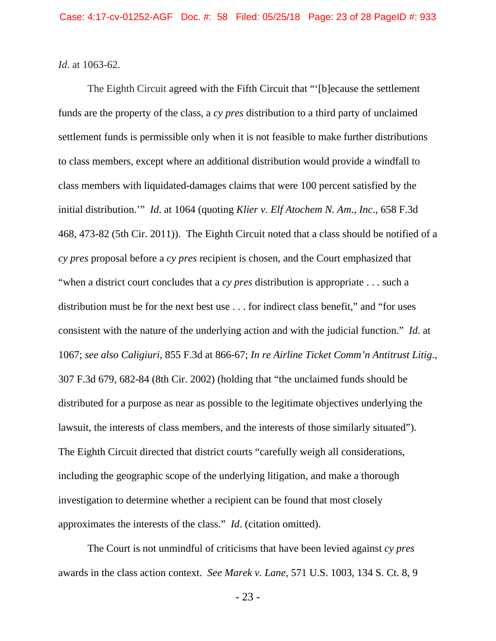*Id*. at 1063-62.

 The Eighth Circuit agreed with the Fifth Circuit that "'[b]ecause the settlement funds are the property of the class, a *cy pres* distribution to a third party of unclaimed settlement funds is permissible only when it is not feasible to make further distributions to class members, except where an additional distribution would provide a windfall to class members with liquidated-damages claims that were 100 percent satisfied by the initial distribution.'" *Id*. at 1064 (quoting *Klier v. Elf Atochem N. Am*., *Inc*., 658 F.3d 468, 473-82 (5th Cir. 2011)). The Eighth Circuit noted that a class should be notified of a *cy pres* proposal before a *cy pres* recipient is chosen, and the Court emphasized that "when a district court concludes that a *cy pres* distribution is appropriate . . . such a distribution must be for the next best use . . . for indirect class benefit," and "for uses consistent with the nature of the underlying action and with the judicial function." *Id*. at 1067; *see also Caligiuri*, 855 F.3d at 866-67; *In re Airline Ticket Comm'n Antitrust Litig*., 307 F.3d 679, 682-84 (8th Cir. 2002) (holding that "the unclaimed funds should be distributed for a purpose as near as possible to the legitimate objectives underlying the lawsuit, the interests of class members, and the interests of those similarly situated"). The Eighth Circuit directed that district courts "carefully weigh all considerations, including the geographic scope of the underlying litigation, and make a thorough investigation to determine whether a recipient can be found that most closely approximates the interests of the class." *Id*. (citation omitted).

 The Court is not unmindful of criticisms that have been levied against *cy pres* awards in the class action context. *See Marek v. Lane*, 571 U.S. 1003, 134 S. Ct. 8, 9

- 23 -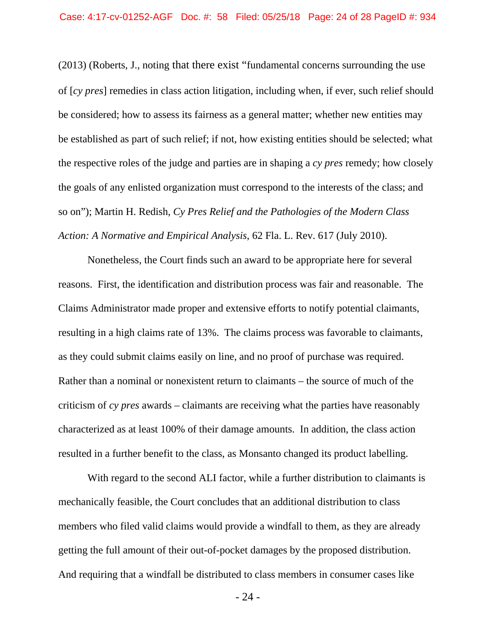(2013) (Roberts, J., noting that there exist "fundamental concerns surrounding the use of [*cy pres*] remedies in class action litigation, including when, if ever, such relief should be considered; how to assess its fairness as a general matter; whether new entities may be established as part of such relief; if not, how existing entities should be selected; what the respective roles of the judge and parties are in shaping a *cy pres* remedy; how closely the goals of any enlisted organization must correspond to the interests of the class; and so on"); Martin H. Redish, *Cy Pres Relief and the Pathologies of the Modern Class Action: A Normative and Empirical Analysis*, 62 Fla. L. Rev. 617 (July 2010).

 Nonetheless, the Court finds such an award to be appropriate here for several reasons. First, the identification and distribution process was fair and reasonable. The Claims Administrator made proper and extensive efforts to notify potential claimants, resulting in a high claims rate of 13%. The claims process was favorable to claimants, as they could submit claims easily on line, and no proof of purchase was required. Rather than a nominal or nonexistent return to claimants – the source of much of the criticism of *cy pres* awards – claimants are receiving what the parties have reasonably characterized as at least 100% of their damage amounts. In addition, the class action resulted in a further benefit to the class, as Monsanto changed its product labelling.

 With regard to the second ALI factor, while a further distribution to claimants is mechanically feasible, the Court concludes that an additional distribution to class members who filed valid claims would provide a windfall to them, as they are already getting the full amount of their out-of-pocket damages by the proposed distribution. And requiring that a windfall be distributed to class members in consumer cases like

- 24 -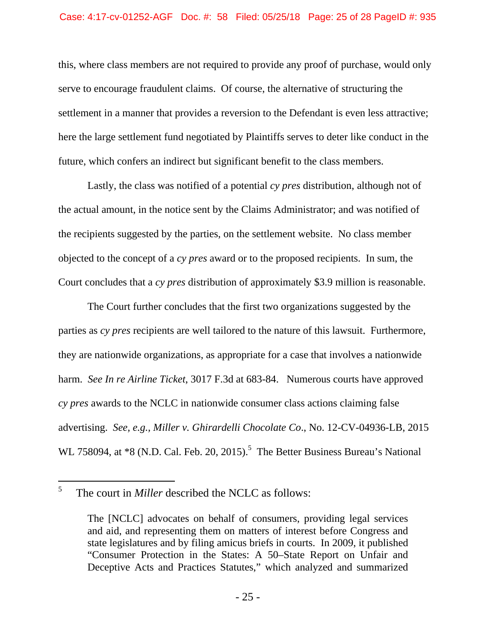this, where class members are not required to provide any proof of purchase, would only serve to encourage fraudulent claims. Of course, the alternative of structuring the settlement in a manner that provides a reversion to the Defendant is even less attractive; here the large settlement fund negotiated by Plaintiffs serves to deter like conduct in the future, which confers an indirect but significant benefit to the class members.

 Lastly, the class was notified of a potential *cy pres* distribution, although not of the actual amount, in the notice sent by the Claims Administrator; and was notified of the recipients suggested by the parties, on the settlement website. No class member objected to the concept of a *cy pres* award or to the proposed recipients. In sum, the Court concludes that a *cy pres* distribution of approximately \$3.9 million is reasonable.

 The Court further concludes that the first two organizations suggested by the parties as *cy pres* recipients are well tailored to the nature of this lawsuit. Furthermore, they are nationwide organizations, as appropriate for a case that involves a nationwide harm. *See In re Airline Ticket*, 3017 F.3d at 683-84. Numerous courts have approved *cy pres* awards to the NCLC in nationwide consumer class actions claiming false advertising. *See, e.g., Miller v. Ghirardelli Chocolate Co*., No. 12-CV-04936-LB, 2015 WL 758094, at  $*8$  (N.D. Cal. Feb. 20, 2015).<sup>5</sup> The Better Business Bureau's National

 $\overline{a}$ 

<sup>5</sup> The court in *Miller* described the NCLC as follows:

The [NCLC] advocates on behalf of consumers, providing legal services and aid, and representing them on matters of interest before Congress and state legislatures and by filing amicus briefs in courts. In 2009, it published "Consumer Protection in the States: A 50–State Report on Unfair and Deceptive Acts and Practices Statutes," which analyzed and summarized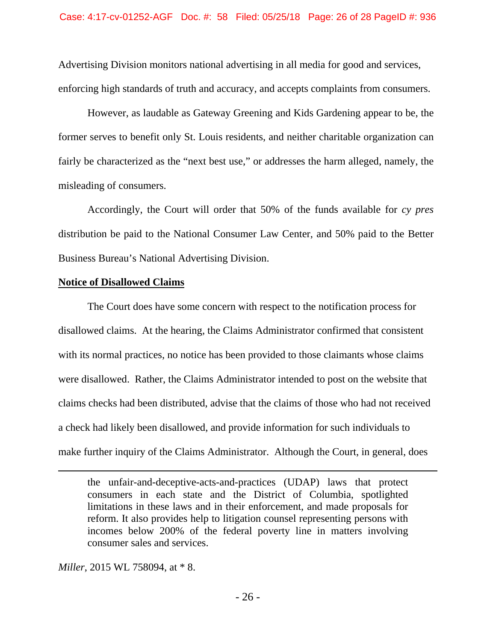Advertising Division monitors national advertising in all media for good and services, enforcing high standards of truth and accuracy, and accepts complaints from consumers.

 However, as laudable as Gateway Greening and Kids Gardening appear to be, the former serves to benefit only St. Louis residents, and neither charitable organization can fairly be characterized as the "next best use," or addresses the harm alleged, namely, the misleading of consumers.

 Accordingly, the Court will order that 50% of the funds available for *cy pres* distribution be paid to the National Consumer Law Center, and 50% paid to the Better Business Bureau's National Advertising Division.

### **Notice of Disallowed Claims**

 The Court does have some concern with respect to the notification process for disallowed claims. At the hearing, the Claims Administrator confirmed that consistent with its normal practices, no notice has been provided to those claimants whose claims were disallowed. Rather, the Claims Administrator intended to post on the website that claims checks had been distributed, advise that the claims of those who had not received a check had likely been disallowed, and provide information for such individuals to make further inquiry of the Claims Administrator. Although the Court, in general, does

*Miller*, 2015 WL 758094, at \* 8.

 $\overline{a}$ 

the unfair-and-deceptive-acts-and-practices (UDAP) laws that protect consumers in each state and the District of Columbia, spotlighted limitations in these laws and in their enforcement, and made proposals for reform. It also provides help to litigation counsel representing persons with incomes below 200% of the federal poverty line in matters involving consumer sales and services.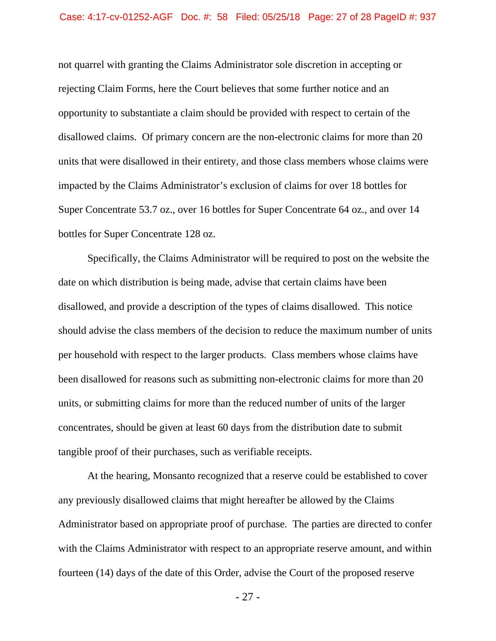not quarrel with granting the Claims Administrator sole discretion in accepting or rejecting Claim Forms, here the Court believes that some further notice and an opportunity to substantiate a claim should be provided with respect to certain of the disallowed claims. Of primary concern are the non-electronic claims for more than 20 units that were disallowed in their entirety, and those class members whose claims were impacted by the Claims Administrator's exclusion of claims for over 18 bottles for Super Concentrate 53.7 oz., over 16 bottles for Super Concentrate 64 oz., and over 14 bottles for Super Concentrate 128 oz.

 Specifically, the Claims Administrator will be required to post on the website the date on which distribution is being made, advise that certain claims have been disallowed, and provide a description of the types of claims disallowed. This notice should advise the class members of the decision to reduce the maximum number of units per household with respect to the larger products. Class members whose claims have been disallowed for reasons such as submitting non-electronic claims for more than 20 units, or submitting claims for more than the reduced number of units of the larger concentrates, should be given at least 60 days from the distribution date to submit tangible proof of their purchases, such as verifiable receipts.

 At the hearing, Monsanto recognized that a reserve could be established to cover any previously disallowed claims that might hereafter be allowed by the Claims Administrator based on appropriate proof of purchase. The parties are directed to confer with the Claims Administrator with respect to an appropriate reserve amount, and within fourteen (14) days of the date of this Order, advise the Court of the proposed reserve

- 27 -